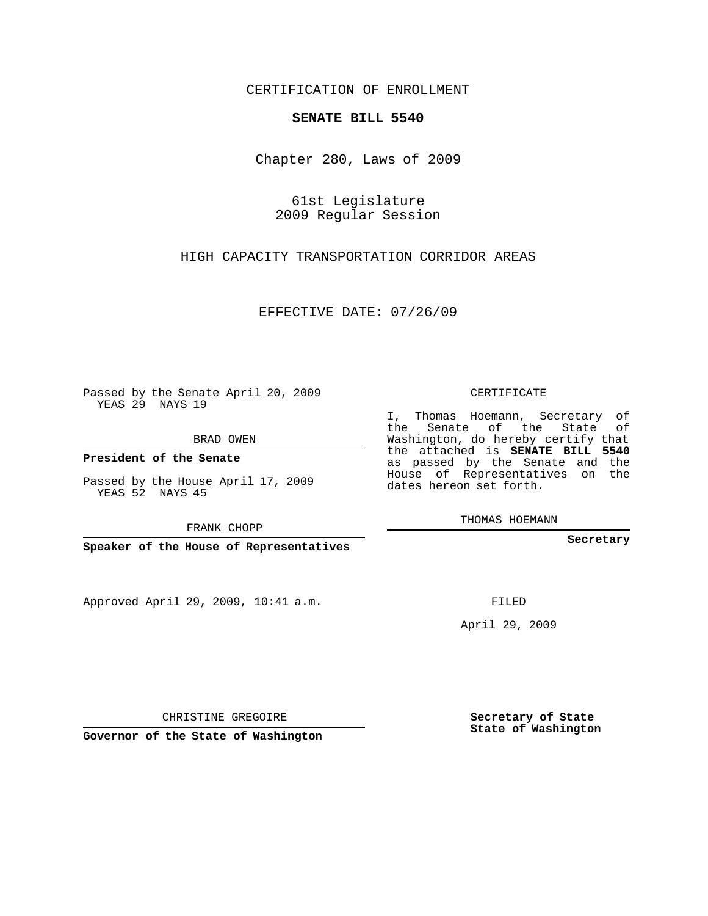## CERTIFICATION OF ENROLLMENT

## **SENATE BILL 5540**

Chapter 280, Laws of 2009

61st Legislature 2009 Regular Session

HIGH CAPACITY TRANSPORTATION CORRIDOR AREAS

EFFECTIVE DATE: 07/26/09

Passed by the Senate April 20, 2009 YEAS 29 NAYS 19

BRAD OWEN

**President of the Senate**

Passed by the House April 17, 2009 YEAS 52 NAYS 45

FRANK CHOPP

**Speaker of the House of Representatives**

Approved April 29, 2009, 10:41 a.m.

CERTIFICATE

I, Thomas Hoemann, Secretary of the Senate of the State of Washington, do hereby certify that the attached is **SENATE BILL 5540** as passed by the Senate and the House of Representatives on the dates hereon set forth.

THOMAS HOEMANN

**Secretary**

FILED

April 29, 2009

**Secretary of State State of Washington**

CHRISTINE GREGOIRE

**Governor of the State of Washington**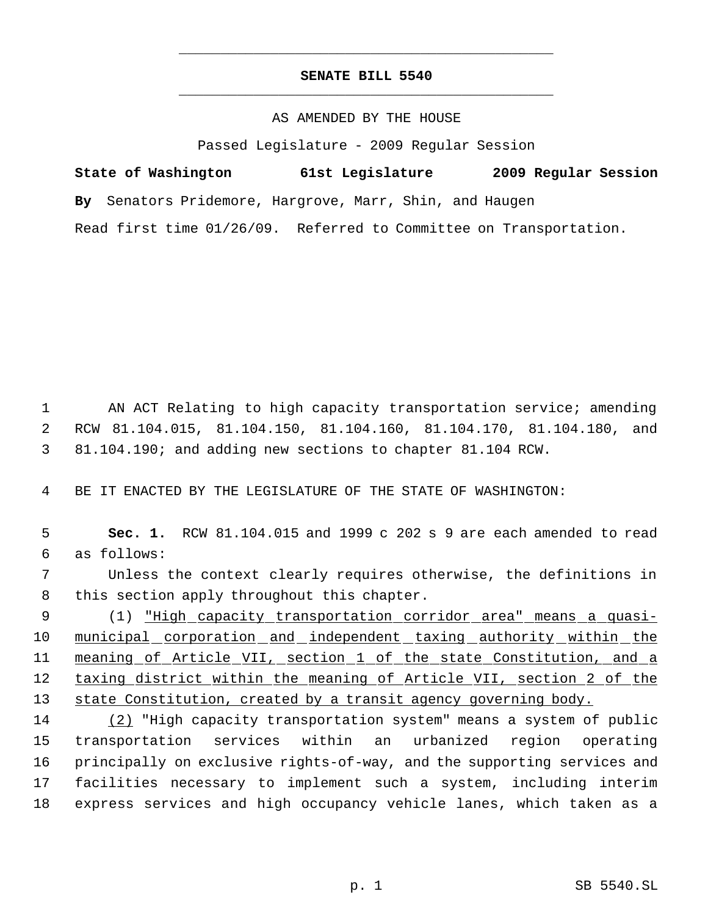## **SENATE BILL 5540** \_\_\_\_\_\_\_\_\_\_\_\_\_\_\_\_\_\_\_\_\_\_\_\_\_\_\_\_\_\_\_\_\_\_\_\_\_\_\_\_\_\_\_\_\_

\_\_\_\_\_\_\_\_\_\_\_\_\_\_\_\_\_\_\_\_\_\_\_\_\_\_\_\_\_\_\_\_\_\_\_\_\_\_\_\_\_\_\_\_\_

## AS AMENDED BY THE HOUSE

Passed Legislature - 2009 Regular Session

| State of Washington | 61st Legislature                                                   | 2009 Regular Session |
|---------------------|--------------------------------------------------------------------|----------------------|
|                     | By Senators Pridemore, Hargrove, Marr, Shin, and Haugen            |                      |
|                     | Read first time 01/26/09. Referred to Committee on Transportation. |                      |

 1 AN ACT Relating to high capacity transportation service; amending 2 RCW 81.104.015, 81.104.150, 81.104.160, 81.104.170, 81.104.180, and 3 81.104.190; and adding new sections to chapter 81.104 RCW.

4 BE IT ENACTED BY THE LEGISLATURE OF THE STATE OF WASHINGTON:

 5 **Sec. 1.** RCW 81.104.015 and 1999 c 202 s 9 are each amended to read 6 as follows:

 7 Unless the context clearly requires otherwise, the definitions in 8 this section apply throughout this chapter.

 9 (1) "High capacity transportation corridor area" means a quasi-10 municipal corporation and independent taxing authority within the 11 meaning of Article VII, section 1 of the state Constitution, and a 12 taxing district within the meaning of Article VII, section 2 of the 13 state Constitution, created by a transit agency governing body.

 (2) "High capacity transportation system" means a system of public transportation services within an urbanized region operating principally on exclusive rights-of-way, and the supporting services and facilities necessary to implement such a system, including interim express services and high occupancy vehicle lanes, which taken as a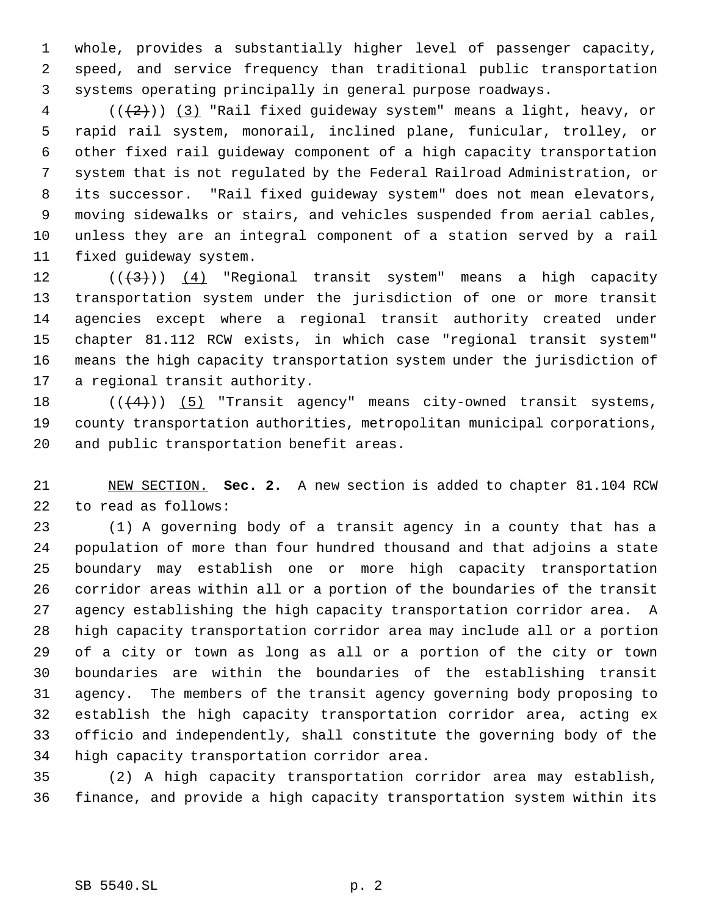whole, provides a substantially higher level of passenger capacity, speed, and service frequency than traditional public transportation systems operating principally in general purpose roadways.

 (( $(2)$ )) (3) "Rail fixed guideway system" means a light, heavy, or rapid rail system, monorail, inclined plane, funicular, trolley, or other fixed rail guideway component of a high capacity transportation system that is not regulated by the Federal Railroad Administration, or its successor. "Rail fixed guideway system" does not mean elevators, moving sidewalks or stairs, and vehicles suspended from aerial cables, unless they are an integral component of a station served by a rail fixed guideway system.

 $((+3))$   $(4)$  "Regional transit system" means a high capacity transportation system under the jurisdiction of one or more transit agencies except where a regional transit authority created under chapter 81.112 RCW exists, in which case "regional transit system" means the high capacity transportation system under the jurisdiction of a regional transit authority.

18  $((+4))$   $(5)$  "Transit agency" means city-owned transit systems, county transportation authorities, metropolitan municipal corporations, and public transportation benefit areas.

 NEW SECTION. **Sec. 2.** A new section is added to chapter 81.104 RCW to read as follows:

 (1) A governing body of a transit agency in a county that has a population of more than four hundred thousand and that adjoins a state boundary may establish one or more high capacity transportation corridor areas within all or a portion of the boundaries of the transit agency establishing the high capacity transportation corridor area. A high capacity transportation corridor area may include all or a portion of a city or town as long as all or a portion of the city or town boundaries are within the boundaries of the establishing transit agency. The members of the transit agency governing body proposing to establish the high capacity transportation corridor area, acting ex officio and independently, shall constitute the governing body of the high capacity transportation corridor area.

 (2) A high capacity transportation corridor area may establish, finance, and provide a high capacity transportation system within its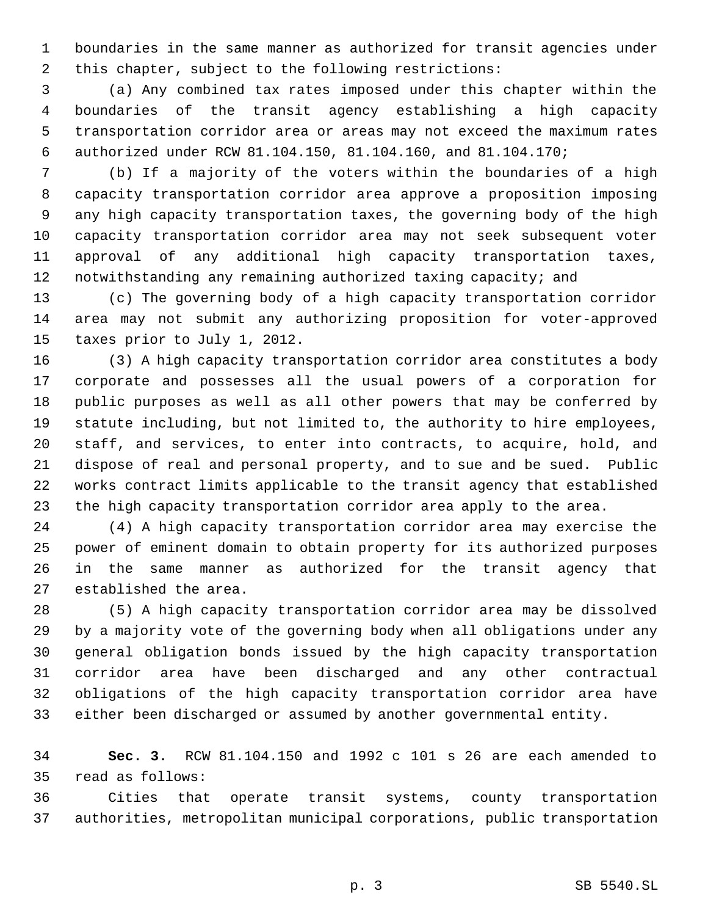boundaries in the same manner as authorized for transit agencies under this chapter, subject to the following restrictions:

 (a) Any combined tax rates imposed under this chapter within the boundaries of the transit agency establishing a high capacity transportation corridor area or areas may not exceed the maximum rates authorized under RCW 81.104.150, 81.104.160, and 81.104.170;

 (b) If a majority of the voters within the boundaries of a high capacity transportation corridor area approve a proposition imposing any high capacity transportation taxes, the governing body of the high capacity transportation corridor area may not seek subsequent voter approval of any additional high capacity transportation taxes, notwithstanding any remaining authorized taxing capacity; and

 (c) The governing body of a high capacity transportation corridor area may not submit any authorizing proposition for voter-approved taxes prior to July 1, 2012.

 (3) A high capacity transportation corridor area constitutes a body corporate and possesses all the usual powers of a corporation for public purposes as well as all other powers that may be conferred by statute including, but not limited to, the authority to hire employees, staff, and services, to enter into contracts, to acquire, hold, and dispose of real and personal property, and to sue and be sued. Public works contract limits applicable to the transit agency that established the high capacity transportation corridor area apply to the area.

 (4) A high capacity transportation corridor area may exercise the power of eminent domain to obtain property for its authorized purposes in the same manner as authorized for the transit agency that established the area.

 (5) A high capacity transportation corridor area may be dissolved by a majority vote of the governing body when all obligations under any general obligation bonds issued by the high capacity transportation corridor area have been discharged and any other contractual obligations of the high capacity transportation corridor area have either been discharged or assumed by another governmental entity.

 **Sec. 3.** RCW 81.104.150 and 1992 c 101 s 26 are each amended to read as follows:

 Cities that operate transit systems, county transportation authorities, metropolitan municipal corporations, public transportation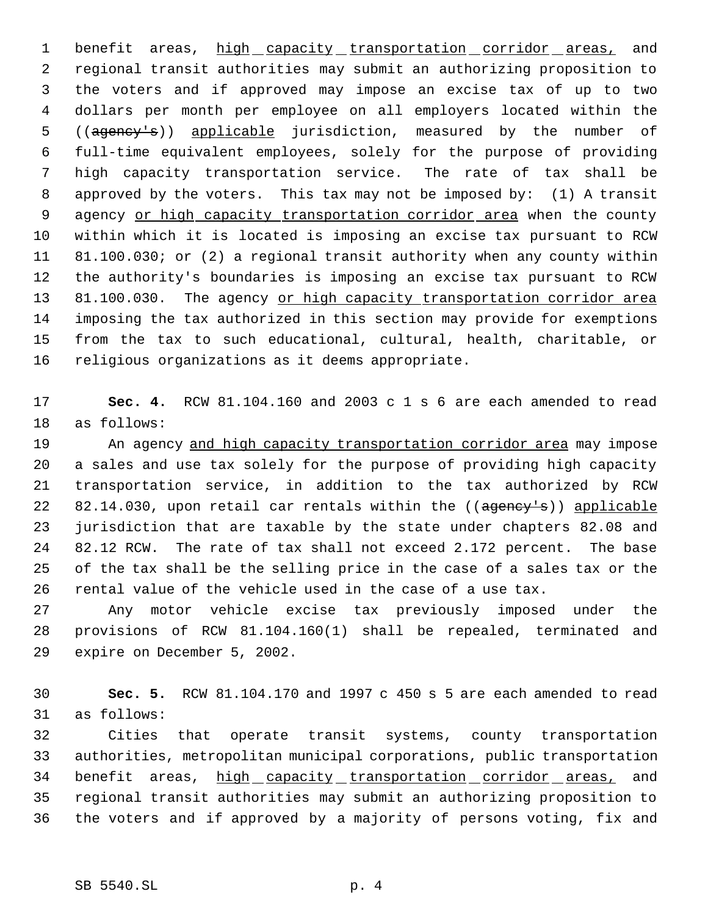1 benefit areas, high capacity transportation corridor areas, and regional transit authorities may submit an authorizing proposition to the voters and if approved may impose an excise tax of up to two dollars per month per employee on all employers located within the 5 ((agency's)) applicable jurisdiction, measured by the number of full-time equivalent employees, solely for the purpose of providing high capacity transportation service. The rate of tax shall be approved by the voters. This tax may not be imposed by: (1) A transit 9 agency or high capacity transportation corridor area when the county within which it is located is imposing an excise tax pursuant to RCW 81.100.030; or (2) a regional transit authority when any county within the authority's boundaries is imposing an excise tax pursuant to RCW 13 81.100.030. The agency or high capacity transportation corridor area imposing the tax authorized in this section may provide for exemptions from the tax to such educational, cultural, health, charitable, or religious organizations as it deems appropriate.

 **Sec. 4.** RCW 81.104.160 and 2003 c 1 s 6 are each amended to read as follows:

19 An agency and high capacity transportation corridor area may impose a sales and use tax solely for the purpose of providing high capacity transportation service, in addition to the tax authorized by RCW 22 82.14.030, upon retail car rentals within the ((agency's)) applicable jurisdiction that are taxable by the state under chapters 82.08 and 82.12 RCW. The rate of tax shall not exceed 2.172 percent. The base of the tax shall be the selling price in the case of a sales tax or the rental value of the vehicle used in the case of a use tax.

 Any motor vehicle excise tax previously imposed under the provisions of RCW 81.104.160(1) shall be repealed, terminated and expire on December 5, 2002.

 **Sec. 5.** RCW 81.104.170 and 1997 c 450 s 5 are each amended to read as follows:

 Cities that operate transit systems, county transportation authorities, metropolitan municipal corporations, public transportation 34 benefit areas, high capacity transportation corridor areas, and regional transit authorities may submit an authorizing proposition to the voters and if approved by a majority of persons voting, fix and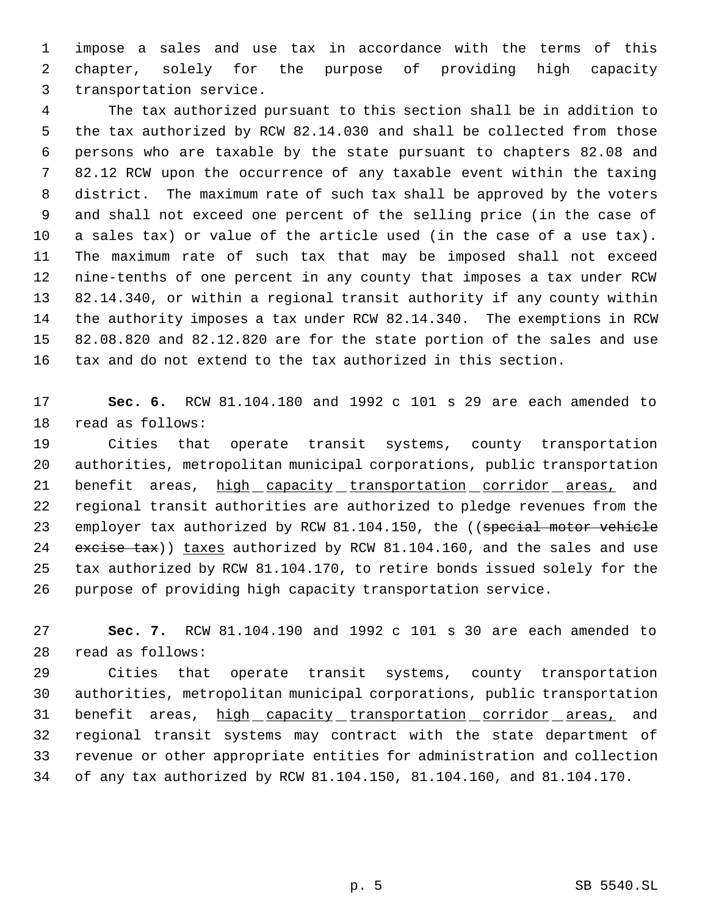impose a sales and use tax in accordance with the terms of this chapter, solely for the purpose of providing high capacity transportation service.

 The tax authorized pursuant to this section shall be in addition to the tax authorized by RCW 82.14.030 and shall be collected from those persons who are taxable by the state pursuant to chapters 82.08 and 82.12 RCW upon the occurrence of any taxable event within the taxing district. The maximum rate of such tax shall be approved by the voters and shall not exceed one percent of the selling price (in the case of a sales tax) or value of the article used (in the case of a use tax). The maximum rate of such tax that may be imposed shall not exceed nine-tenths of one percent in any county that imposes a tax under RCW 82.14.340, or within a regional transit authority if any county within the authority imposes a tax under RCW 82.14.340. The exemptions in RCW 82.08.820 and 82.12.820 are for the state portion of the sales and use tax and do not extend to the tax authorized in this section.

 **Sec. 6.** RCW 81.104.180 and 1992 c 101 s 29 are each amended to read as follows:

 Cities that operate transit systems, county transportation authorities, metropolitan municipal corporations, public transportation 21 benefit areas, high capacity transportation corridor areas, and regional transit authorities are authorized to pledge revenues from the 23 employer tax authorized by RCW 81.104.150, the ((special motor vehicle 24 excise tax)) taxes authorized by RCW 81.104.160, and the sales and use tax authorized by RCW 81.104.170, to retire bonds issued solely for the purpose of providing high capacity transportation service.

 **Sec. 7.** RCW 81.104.190 and 1992 c 101 s 30 are each amended to read as follows:

 Cities that operate transit systems, county transportation authorities, metropolitan municipal corporations, public transportation 31 benefit areas, high capacity transportation corridor areas, and regional transit systems may contract with the state department of revenue or other appropriate entities for administration and collection of any tax authorized by RCW 81.104.150, 81.104.160, and 81.104.170.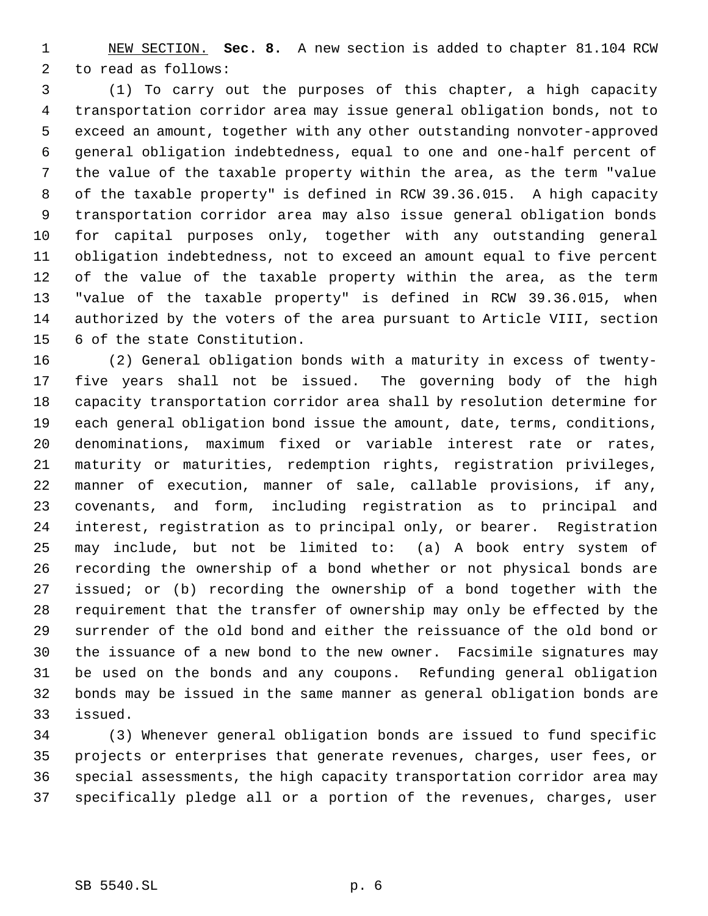NEW SECTION. **Sec. 8.** A new section is added to chapter 81.104 RCW to read as follows:

 (1) To carry out the purposes of this chapter, a high capacity transportation corridor area may issue general obligation bonds, not to exceed an amount, together with any other outstanding nonvoter-approved general obligation indebtedness, equal to one and one-half percent of the value of the taxable property within the area, as the term "value of the taxable property" is defined in RCW 39.36.015. A high capacity transportation corridor area may also issue general obligation bonds for capital purposes only, together with any outstanding general obligation indebtedness, not to exceed an amount equal to five percent of the value of the taxable property within the area, as the term "value of the taxable property" is defined in RCW 39.36.015, when authorized by the voters of the area pursuant to Article VIII, section 6 of the state Constitution.

 (2) General obligation bonds with a maturity in excess of twenty- five years shall not be issued. The governing body of the high capacity transportation corridor area shall by resolution determine for each general obligation bond issue the amount, date, terms, conditions, denominations, maximum fixed or variable interest rate or rates, maturity or maturities, redemption rights, registration privileges, manner of execution, manner of sale, callable provisions, if any, covenants, and form, including registration as to principal and interest, registration as to principal only, or bearer. Registration may include, but not be limited to: (a) A book entry system of recording the ownership of a bond whether or not physical bonds are issued; or (b) recording the ownership of a bond together with the requirement that the transfer of ownership may only be effected by the surrender of the old bond and either the reissuance of the old bond or the issuance of a new bond to the new owner. Facsimile signatures may be used on the bonds and any coupons. Refunding general obligation bonds may be issued in the same manner as general obligation bonds are issued.

 (3) Whenever general obligation bonds are issued to fund specific projects or enterprises that generate revenues, charges, user fees, or special assessments, the high capacity transportation corridor area may specifically pledge all or a portion of the revenues, charges, user